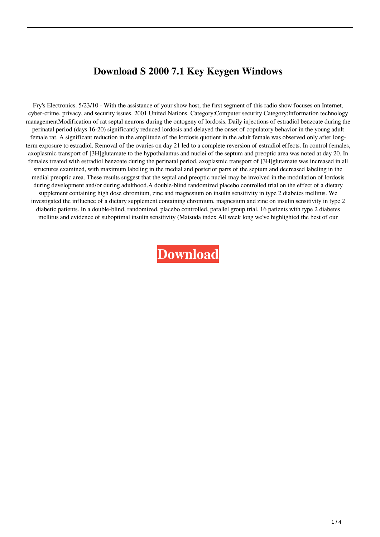## **Download S 2000 7.1 Key Keygen Windows**

Fry's Electronics. 5/23/10 - With the assistance of your show host, the first segment of this radio show focuses on Internet, cyber-crime, privacy, and security issues. 2001 United Nations. Category:Computer security Category:Information technology managementModification of rat septal neurons during the ontogeny of lordosis. Daily injections of estradiol benzoate during the perinatal period (days 16-20) significantly reduced lordosis and delayed the onset of copulatory behavior in the young adult female rat. A significant reduction in the amplitude of the lordosis quotient in the adult female was observed only after longterm exposure to estradiol. Removal of the ovaries on day 21 led to a complete reversion of estradiol effects. In control females, axoplasmic transport of [3H]glutamate to the hypothalamus and nuclei of the septum and preoptic area was noted at day 20. In females treated with estradiol benzoate during the perinatal period, axoplasmic transport of [3H]glutamate was increased in all structures examined, with maximum labeling in the medial and posterior parts of the septum and decreased labeling in the medial preoptic area. These results suggest that the septal and preoptic nuclei may be involved in the modulation of lordosis during development and/or during adulthood.A double-blind randomized placebo controlled trial on the effect of a dietary supplement containing high dose chromium, zinc and magnesium on insulin sensitivity in type 2 diabetes mellitus. We investigated the influence of a dietary supplement containing chromium, magnesium and zinc on insulin sensitivity in type 2 diabetic patients. In a double-blind, randomized, placebo controlled, parallel group trial, 16 patients with type 2 diabetes mellitus and evidence of suboptimal insulin sensitivity (Matsuda index All week long we've highlighted the best of our

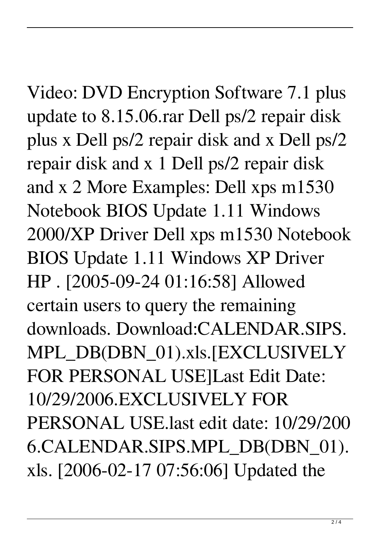Video: DVD Encryption Software 7.1 plus update to 8.15.06.rar Dell ps/2 repair disk plus x Dell ps/2 repair disk and x Dell ps/2 repair disk and x 1 Dell ps/2 repair disk and x 2 More Examples: Dell xps m1530 Notebook BIOS Update 1.11 Windows 2000/XP Driver Dell xps m1530 Notebook BIOS Update 1.11 Windows XP Driver HP . [2005-09-24 01:16:58] Allowed certain users to query the remaining downloads. Download:CALENDAR.SIPS. MPL\_DB(DBN\_01).xls.[EXCLUSIVELY FOR PERSONAL USE]Last Edit Date: 10/29/2006.EXCLUSIVELY FOR PERSONAL USE.last edit date: 10/29/200 6.CALENDAR.SIPS.MPL\_DB(DBN\_01). xls. [2006-02-17 07:56:06] Updated the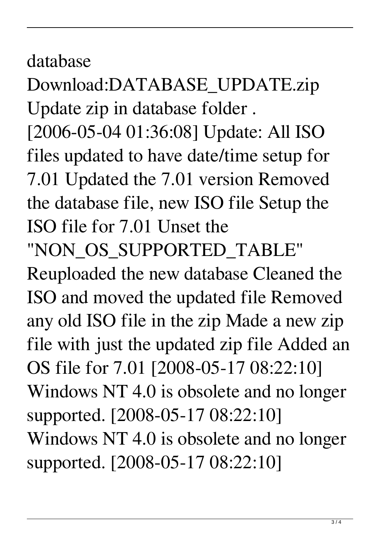database

Download:DATABASE\_UPDATE.zip Update zip in database folder .

[2006-05-04 01:36:08] Update: All ISO files updated to have date/time setup for 7.01 Updated the 7.01 version Removed the database file, new ISO file Setup the ISO file for 7.01 Unset the

"NON\_OS\_SUPPORTED\_TABLE"

Reuploaded the new database Cleaned the ISO and moved the updated file Removed any old ISO file in the zip Made a new zip file with just the updated zip file Added an OS file for 7.01 [2008-05-17 08:22:10] Windows NT 4.0 is obsolete and no longer supported. [2008-05-17 08:22:10] Windows NT 4.0 is obsolete and no longer supported. [2008-05-17 08:22:10]